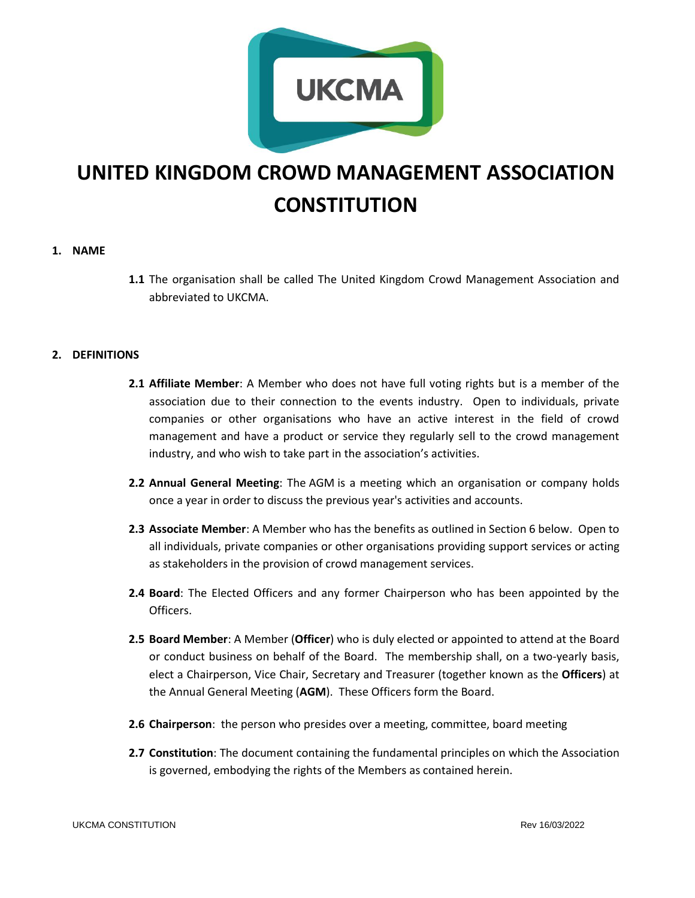

# **UNITED KINGDOM CROWD MANAGEMENT ASSOCIATION CONSTITUTION**

# **1. NAME**

**1.1** The organisation shall be called The United Kingdom Crowd Management Association and abbreviated to UKCMA.

# **2. DEFINITIONS**

- **2.1 Affiliate Member**: A Member who does not have full voting rights but is a member of the association due to their connection to the events industry. Open to individuals, private companies or other organisations who have an active interest in the field of crowd management and have a product or service they regularly sell to the crowd management industry, and who wish to take part in the association's activities.
- **2.2 Annual General Meeting**: The AGM is a meeting which an organisation or company holds once a year in order to [discuss](https://www.collinsdictionary.com/dictionary/english/discuss) the [previous](https://www.collinsdictionary.com/dictionary/english/previous) year's activities and [accounts.](https://www.collinsdictionary.com/dictionary/english/account)
- **2.3 Associate Member**: A Member who has the benefits as outlined in Section 6 below. Open to all individuals, private companies or other organisations providing support services or acting as stakeholders in the provision of crowd management services.
- **2.4 Board**: The Elected Officers and any former Chairperson who has been appointed by the Officers.
- **2.5 Board Member**: A Member (**Officer**) who is duly elected or appointed to attend at the Board or conduct business on behalf of the Board. The membership shall, on a two-yearly basis, elect a Chairperson, Vice Chair, Secretary and Treasurer (together known as the **Officers**) at the Annual General Meeting (**AGM**). These Officers form the Board.
- **2.6 Chairperson**: the person who [presides](https://www.collinsdictionary.com/dictionary/english/preside) over a meeting, committee, [board](https://www.collinsdictionary.com/dictionary/english/board) meeting
- **2.7 Constitution**: The document containing the [fundamental](https://www.collinsdictionary.com/dictionary/english/fundamental) [principles](https://www.collinsdictionary.com/dictionary/english/principle) on which the Association is [governed,](https://www.collinsdictionary.com/dictionary/english/govern) [embodying](https://www.collinsdictionary.com/dictionary/english/embody) the rights of the Members as contained herein.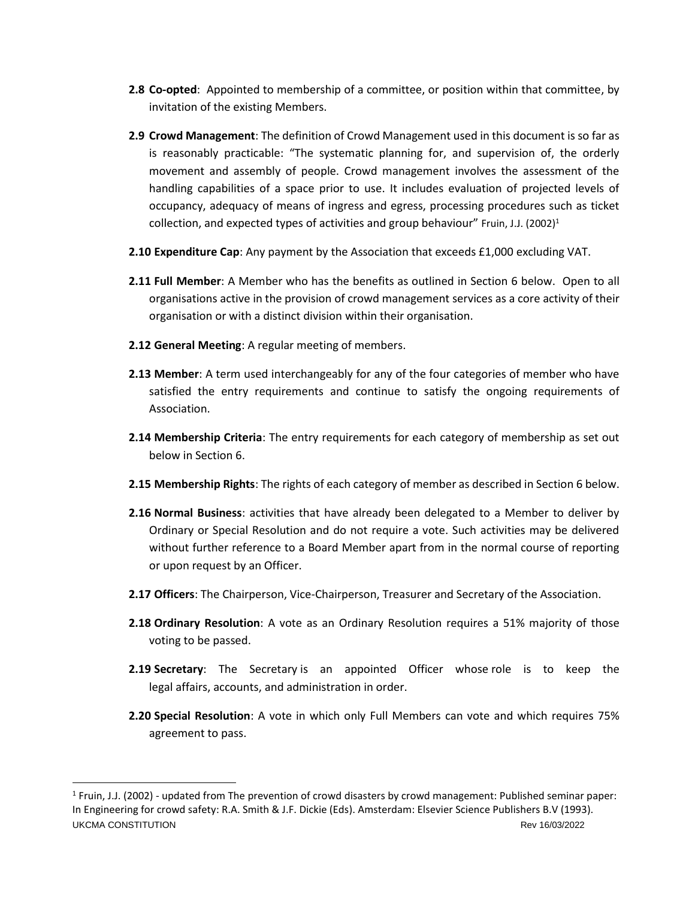- **2.8 Co-opted**: Appointed to membership of a committee, or position within that committee, by invitation of the existing Members.
- **2.9 Crowd Management**: The definition of Crowd Management used in this document is so far as is reasonably practicable: "The systematic planning for, and supervision of, the orderly movement and assembly of people. Crowd management involves the assessment of the handling capabilities of a space prior to use. It includes evaluation of projected levels of occupancy, adequacy of means of ingress and egress, processing procedures such as ticket collection, and expected types of activities and group behaviour" Fruin, J.J. (2002)<sup>1</sup>
- **2.10 Expenditure Cap**: Any payment by the Association that exceeds £1,000 excluding VAT.
- **2.11 Full Member**: A Member who has the benefits as outlined in Section 6 below. Open to all organisations active in the provision of crowd management services as a core activity of their organisation or with a distinct division within their organisation.
- **2.12 General Meeting**: A regular meeting of members.
- **2.13 Member**: A term used interchangeably for any of the four categories of member who have satisfied the entry requirements and continue to satisfy the ongoing requirements of Association.
- **2.14 Membership Criteria**: The entry requirements for each category of membership as set out below in Section 6.
- **2.15 Membership Rights**: The rights of each category of member as described in Section 6 below.
- **2.16 Normal Business**: activities that have already been delegated to a Member to deliver by Ordinary or Special Resolution and do not require a vote. Such activities may be delivered without further reference to a Board Member apart from in the normal course of reporting or upon request by an Officer.
- **2.17 Officers**: The Chairperson, Vice-Chairperson, Treasurer and Secretary of the Association.
- **2.18 Ordinary Resolution**: A vote as an Ordinary Resolution requires a 51% majority of those voting to be passed.
- **2.19 Secretary**: The Secretary is an appointed Officer whose role is to keep the legal [affairs,](https://www.collinsdictionary.com/dictionary/english/affair) [accounts,](https://www.collinsdictionary.com/dictionary/english/account) and [administration](https://www.collinsdictionary.com/dictionary/english/administration) in order.
- **2.20 Special Resolution**: A vote in which only Full Members can vote and which requires 75% agreement to pass.

UKCMA CONSTITUTION Rev 16/03/2022 <sup>1</sup> Fruin, J.J. (2002) - updated from The prevention of crowd disasters by crowd management: Published seminar paper: In Engineering for crowd safety: R.A. Smith & J.F. Dickie (Eds). Amsterdam: Elsevier Science Publishers B.V (1993).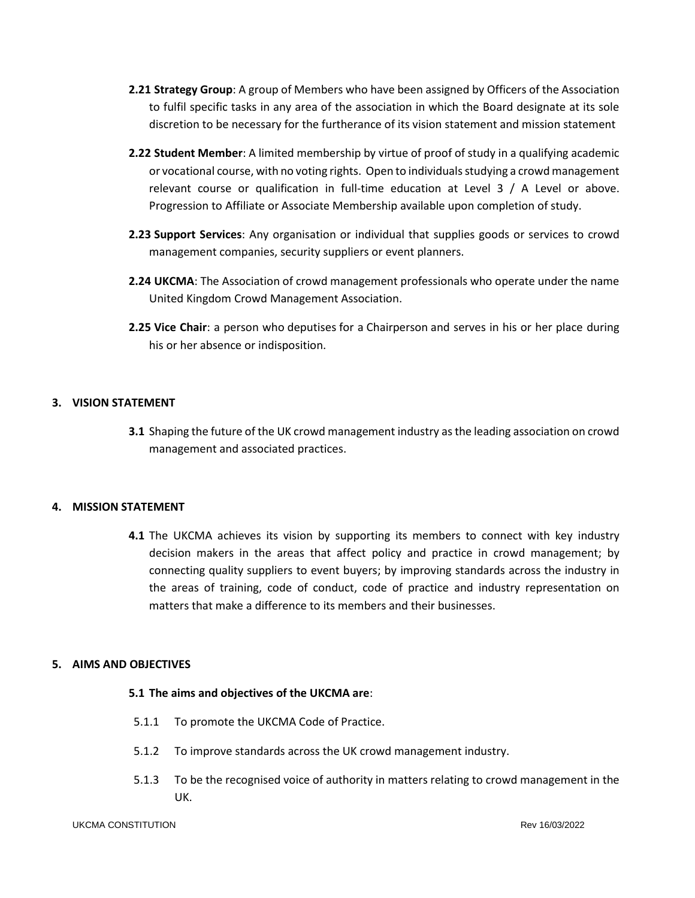- **2.21 Strategy Group**: A group of Members who have been assigned by Officers of the Association to fulfil specific tasks in any area of the association in which the Board designate at its sole discretion to be necessary for the furtherance of its vision statement and mission statement
- **2.22 Student Member**: A limited membership by virtue of proof of study in a qualifying academic or vocational course, with no voting rights. Open to individuals studying a crowd management relevant course or qualification in full-time education at Level 3 / A Level or above. Progression to Affiliate or Associate Membership available upon completion of study.
- **2.23 Support Services**: Any organisation or individual that supplies goods or services to crowd management companies, security suppliers or event planners.
- **2.24 UKCMA**: The Association of crowd management professionals who operate under the name United Kingdom Crowd Management Association.
- **2.25 Vice Chair**: a person who [deputises](https://www.collinsdictionary.com/dictionary/english/deputize) for a Chairperson and serves in his or her place during his or her [absence](https://www.collinsdictionary.com/dictionary/english/absence) or indisposition.

# **3. VISION STATEMENT**

**3.1** Shaping the future of the UK crowd management industry as the leading association on crowd management and associated practices.

# **4. MISSION STATEMENT**

**4.1** The UKCMA achieves its vision by supporting its members to connect with key industry decision makers in the areas that affect policy and practice in crowd management; by connecting quality suppliers to event buyers; by improving standards across the industry in the areas of training, code of conduct, code of practice and industry representation on matters that make a difference to its members and their businesses.

# **5. AIMS AND OBJECTIVES**

# **5.1 The aims and objectives of the UKCMA are**:

- 5.1.1 To promote the UKCMA Code of Practice.
- 5.1.2 To improve standards across the UK crowd management industry.
- 5.1.3 To be the recognised voice of authority in matters relating to crowd management in the UK.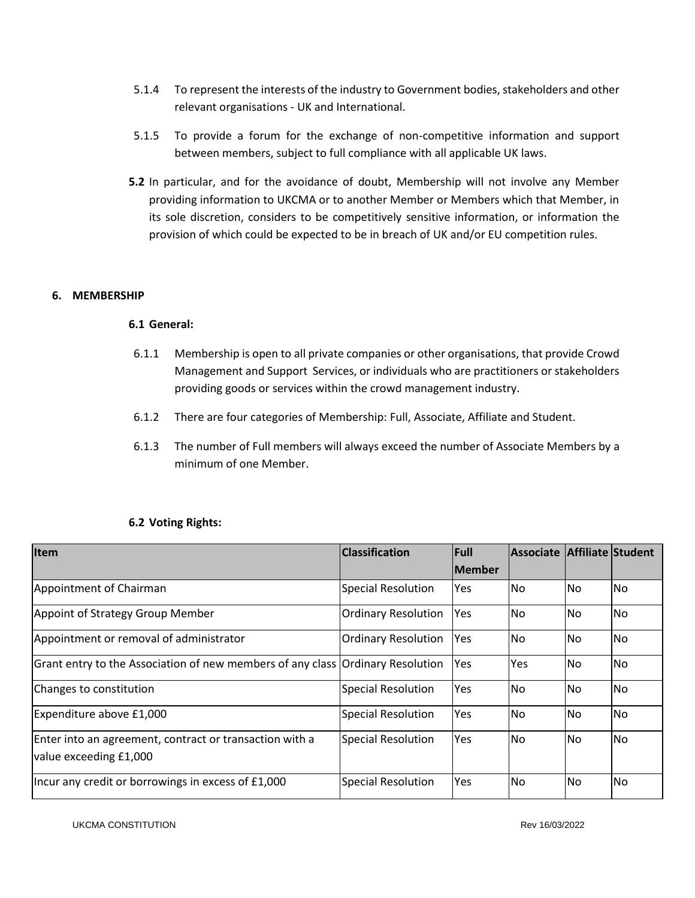- 5.1.4 To represent the interests of the industry to Government bodies, stakeholders and other relevant organisations - UK and International.
- 5.1.5 To provide a forum for the exchange of non-competitive information and support between members, subject to full compliance with all applicable UK laws.
- **5.2** In particular, and for the avoidance of doubt, Membership will not involve any Member providing information to UKCMA or to another Member or Members which that Member, in its sole discretion, considers to be competitively sensitive information, or information the provision of which could be expected to be in breach of UK and/or EU competition rules.

# **6. MEMBERSHIP**

# **6.1 General:**

- 6.1.1 Membership is open to all private companies or other organisations, that provide Crowd Management and Support Services, or individuals who are practitioners or stakeholders providing goods or services within the crowd management industry.
- 6.1.2 There are four categories of Membership: Full, Associate, Affiliate and Student.
- 6.1.3 The number of Full members will always exceed the number of Associate Members by a minimum of one Member.

| Item                                                                              | <b>Classification</b>      | <b>Full</b>   | Associate Affiliate Student |           |           |
|-----------------------------------------------------------------------------------|----------------------------|---------------|-----------------------------|-----------|-----------|
|                                                                                   |                            | <b>Member</b> |                             |           |           |
| Appointment of Chairman                                                           | <b>Special Resolution</b>  | Yes           | No.                         | <b>No</b> | No.       |
| Appoint of Strategy Group Member                                                  | <b>Ordinary Resolution</b> | Yes           | No.                         | <b>No</b> | No.       |
| Appointment or removal of administrator                                           | <b>Ordinary Resolution</b> | Yes           | <b>No</b>                   | <b>No</b> | No.       |
| Grant entry to the Association of new members of any class Ordinary Resolution    |                            | Yes           | Yes                         | <b>No</b> | <b>No</b> |
| Changes to constitution                                                           | <b>Special Resolution</b>  | Yes           | N <sub>o</sub>              | <b>No</b> | <b>No</b> |
| Expenditure above £1,000                                                          | <b>Special Resolution</b>  | Yes           | No.                         | <b>No</b> | No.       |
| Enter into an agreement, contract or transaction with a<br>value exceeding £1,000 | <b>Special Resolution</b>  | Yes           | No.                         | <b>No</b> | No.       |
| Incur any credit or borrowings in excess of £1,000                                | <b>Special Resolution</b>  | Yes           | No.                         | No        | No.       |

# **6.2 Voting Rights:**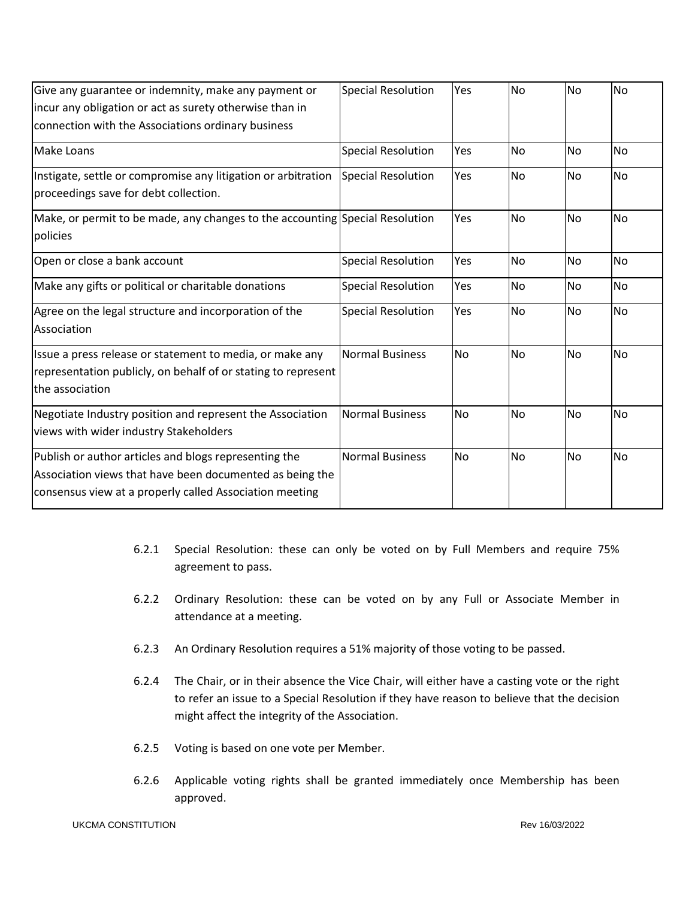| Give any guarantee or indemnity, make any payment or<br>incur any obligation or act as surety otherwise than in<br>connection with the Associations ordinary business        | <b>Special Resolution</b> | Yes       | <b>No</b> | <b>No</b> | No        |
|------------------------------------------------------------------------------------------------------------------------------------------------------------------------------|---------------------------|-----------|-----------|-----------|-----------|
| Make Loans                                                                                                                                                                   | <b>Special Resolution</b> | Yes       | No        | No        | No        |
| Instigate, settle or compromise any litigation or arbitration<br>proceedings save for debt collection.                                                                       | <b>Special Resolution</b> | Yes       | <b>No</b> | <b>No</b> | <b>No</b> |
| Make, or permit to be made, any changes to the accounting Special Resolution<br>policies                                                                                     |                           | Yes       | <b>No</b> | No        | <b>No</b> |
| Open or close a bank account                                                                                                                                                 | <b>Special Resolution</b> | Yes       | <b>No</b> | <b>No</b> | No        |
| Make any gifts or political or charitable donations                                                                                                                          | <b>Special Resolution</b> | Yes       | No        | No        | No        |
| Agree on the legal structure and incorporation of the<br>Association                                                                                                         | <b>Special Resolution</b> | Yes       | No        | No        | No        |
| Issue a press release or statement to media, or make any<br>representation publicly, on behalf of or stating to represent<br>lthe association                                | <b>Normal Business</b>    | <b>No</b> | <b>No</b> | <b>No</b> | <b>No</b> |
| Negotiate Industry position and represent the Association<br>views with wider industry Stakeholders                                                                          | <b>Normal Business</b>    | No        | No        | No        | No        |
| Publish or author articles and blogs representing the<br>Association views that have been documented as being the<br>consensus view at a properly called Association meeting | <b>Normal Business</b>    | <b>No</b> | No        | No        | No        |

- 6.2.1 Special Resolution: these can only be voted on by Full Members and require 75% agreement to pass.
- 6.2.2 Ordinary Resolution: these can be voted on by any Full or Associate Member in attendance at a meeting.
- 6.2.3 An Ordinary Resolution requires a 51% majority of those voting to be passed.
- 6.2.4 The Chair, or in their absence the Vice Chair, will either have a casting vote or the right to refer an issue to a Special Resolution if they have reason to believe that the decision might affect the integrity of the Association.
- 6.2.5 Voting is based on one vote per Member.
- 6.2.6 Applicable voting rights shall be granted immediately once Membership has been approved.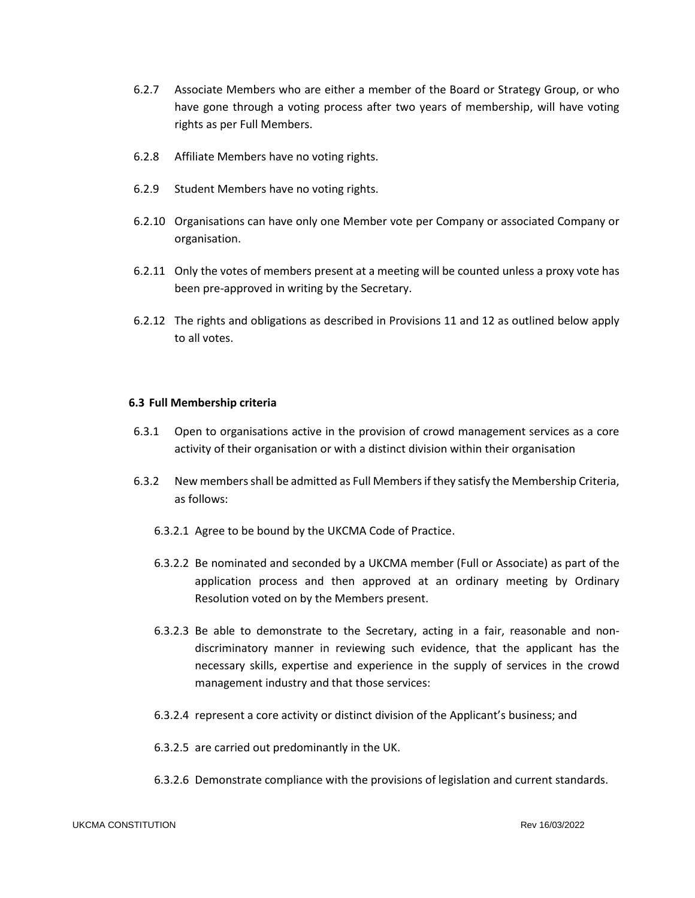- 6.2.7 Associate Members who are either a member of the Board or Strategy Group, or who have gone through a voting process after two years of membership, will have voting rights as per Full Members.
- 6.2.8 Affiliate Members have no voting rights.
- 6.2.9 Student Members have no voting rights.
- 6.2.10 Organisations can have only one Member vote per Company or associated Company or organisation.
- 6.2.11 Only the votes of members present at a meeting will be counted unless a proxy vote has been pre-approved in writing by the Secretary.
- 6.2.12 The rights and obligations as described in Provisions 11 and 12 as outlined below apply to all votes.

#### **6.3 Full Membership criteria**

- 6.3.1 Open to organisations active in the provision of crowd management services as a core activity of their organisation or with a distinct division within their organisation
- 6.3.2 New members shall be admitted as Full Members if they satisfy the Membership Criteria, as follows:
	- 6.3.2.1 Agree to be bound by the UKCMA Code of Practice.
	- 6.3.2.2 Be nominated and seconded by a UKCMA member (Full or Associate) as part of the application process and then approved at an ordinary meeting by Ordinary Resolution voted on by the Members present.
	- 6.3.2.3 Be able to demonstrate to the Secretary, acting in a fair, reasonable and nondiscriminatory manner in reviewing such evidence, that the applicant has the necessary skills, expertise and experience in the supply of services in the crowd management industry and that those services:
	- 6.3.2.4 represent a core activity or distinct division of the Applicant's business; and
	- 6.3.2.5 are carried out predominantly in the UK.
	- 6.3.2.6 Demonstrate compliance with the provisions of legislation and current standards.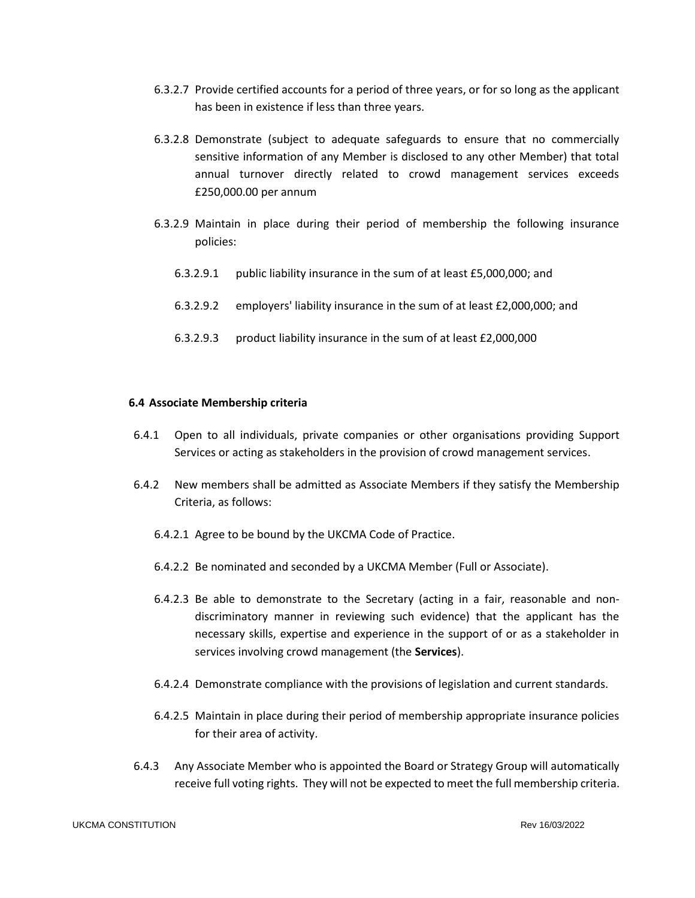- 6.3.2.7 Provide certified accounts for a period of three years, or for so long as the applicant has been in existence if less than three years.
- 6.3.2.8 Demonstrate (subject to adequate safeguards to ensure that no commercially sensitive information of any Member is disclosed to any other Member) that total annual turnover directly related to crowd management services exceeds £250,000.00 per annum
- 6.3.2.9 Maintain in place during their period of membership the following insurance policies:
	- 6.3.2.9.1 public liability insurance in the sum of at least £5,000,000; and
	- 6.3.2.9.2 employers' liability insurance in the sum of at least £2,000,000; and
	- 6.3.2.9.3 product liability insurance in the sum of at least £2,000,000

#### **6.4 Associate Membership criteria**

- 6.4.1 Open to all individuals, private companies or other organisations providing Support Services or acting as stakeholders in the provision of crowd management services.
- 6.4.2 New members shall be admitted as Associate Members if they satisfy the Membership Criteria, as follows:
	- 6.4.2.1 Agree to be bound by the UKCMA Code of Practice.
	- 6.4.2.2 Be nominated and seconded by a UKCMA Member (Full or Associate).
	- 6.4.2.3 Be able to demonstrate to the Secretary (acting in a fair, reasonable and nondiscriminatory manner in reviewing such evidence) that the applicant has the necessary skills, expertise and experience in the support of or as a stakeholder in services involving crowd management (the **Services**).
	- 6.4.2.4 Demonstrate compliance with the provisions of legislation and current standards.
	- 6.4.2.5 Maintain in place during their period of membership appropriate insurance policies for their area of activity.
- 6.4.3 Any Associate Member who is appointed the Board or Strategy Group will automatically receive full voting rights. They will not be expected to meet the full membership criteria.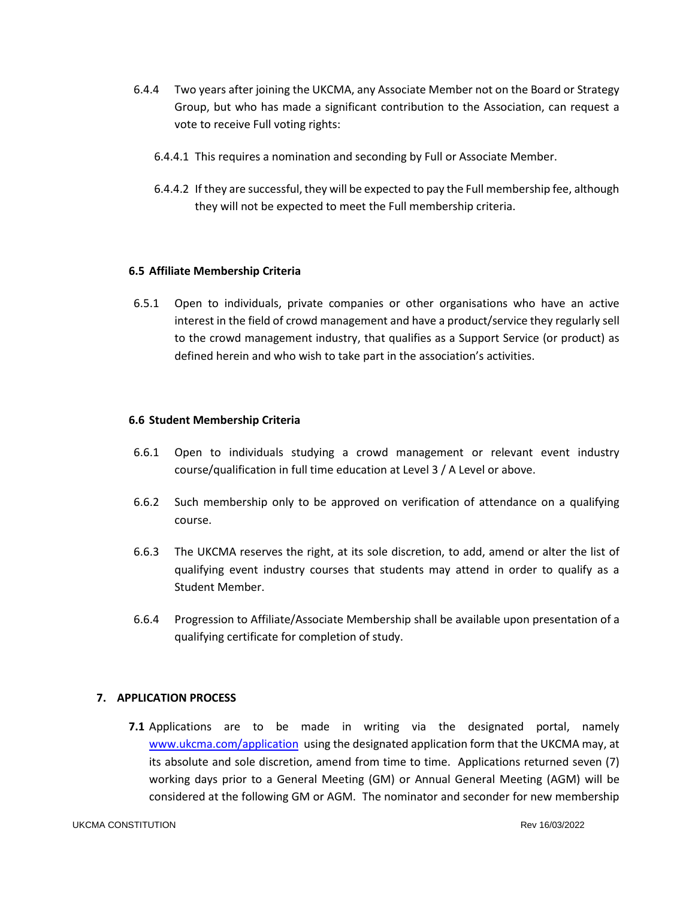- 6.4.4 Two years after joining the UKCMA, any Associate Member not on the Board or Strategy Group, but who has made a significant contribution to the Association, can request a vote to receive Full voting rights:
	- 6.4.4.1 This requires a nomination and seconding by Full or Associate Member.
	- 6.4.4.2 If they are successful, they will be expected to pay the Full membership fee, although they will not be expected to meet the Full membership criteria.

#### **6.5 Affiliate Membership Criteria**

6.5.1 Open to individuals, private companies or other organisations who have an active interest in the field of crowd management and have a product/service they regularly sell to the crowd management industry, that qualifies as a Support Service (or product) as defined herein and who wish to take part in the association's activities.

# **6.6 Student Membership Criteria**

- 6.6.1 Open to individuals studying a crowd management or relevant event industry course/qualification in full time education at Level 3 / A Level or above.
- 6.6.2 Such membership only to be approved on verification of attendance on a qualifying course.
- 6.6.3 The UKCMA reserves the right, at its sole discretion, to add, amend or alter the list of qualifying event industry courses that students may attend in order to qualify as a Student Member.
- 6.6.4 Progression to Affiliate/Associate Membership shall be available upon presentation of a qualifying certificate for completion of study.

# **7. APPLICATION PROCESS**

**7.1** Applications are to be made in writing via the designated portal, namely [www.ukcma.com/application](http://www.ukcma.com/application) using the designated application form that the UKCMA may, at its absolute and sole discretion, amend from time to time. Applications returned seven (7) working days prior to a General Meeting (GM) or Annual General Meeting (AGM) will be considered at the following GM or AGM. The nominator and seconder for new membership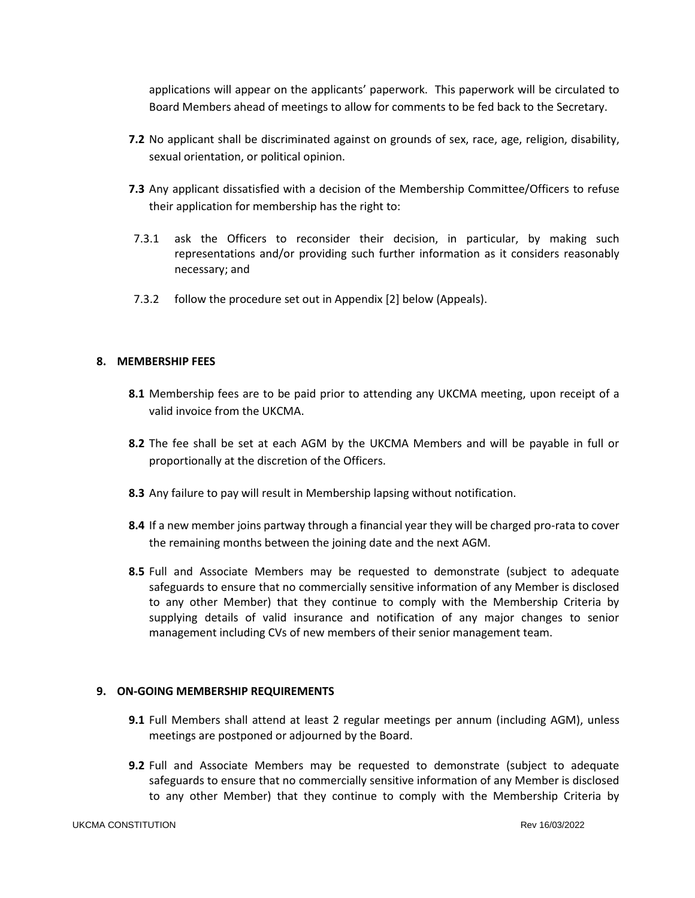applications will appear on the applicants' paperwork. This paperwork will be circulated to Board Members ahead of meetings to allow for comments to be fed back to the Secretary.

- **7.2** No applicant shall be discriminated against on grounds of sex, race, age, religion, disability, sexual orientation, or political opinion.
- **7.3** Any applicant dissatisfied with a decision of the Membership Committee/Officers to refuse their application for membership has the right to:
- 7.3.1 ask the Officers to reconsider their decision, in particular, by making such representations and/or providing such further information as it considers reasonably necessary; and
- 7.3.2 follow the procedure set out in Appendix [2] below (Appeals).

# **8. MEMBERSHIP FEES**

- **8.1** Membership fees are to be paid prior to attending any UKCMA meeting, upon receipt of a valid invoice from the UKCMA.
- **8.2** The fee shall be set at each AGM by the UKCMA Members and will be payable in full or proportionally at the discretion of the Officers.
- **8.3** Any failure to pay will result in Membership lapsing without notification.
- **8.4** If a new member joins partway through a financial year they will be charged pro-rata to cover the remaining months between the joining date and the next AGM.
- **8.5** Full and Associate Members may be requested to demonstrate (subject to adequate safeguards to ensure that no commercially sensitive information of any Member is disclosed to any other Member) that they continue to comply with the Membership Criteria by supplying details of valid insurance and notification of any major changes to senior management including CVs of new members of their senior management team.

# **9. ON-GOING MEMBERSHIP REQUIREMENTS**

- **9.1** Full Members shall attend at least 2 regular meetings per annum (including AGM), unless meetings are postponed or adjourned by the Board.
- **9.2** Full and Associate Members may be requested to demonstrate (subject to adequate safeguards to ensure that no commercially sensitive information of any Member is disclosed to any other Member) that they continue to comply with the Membership Criteria by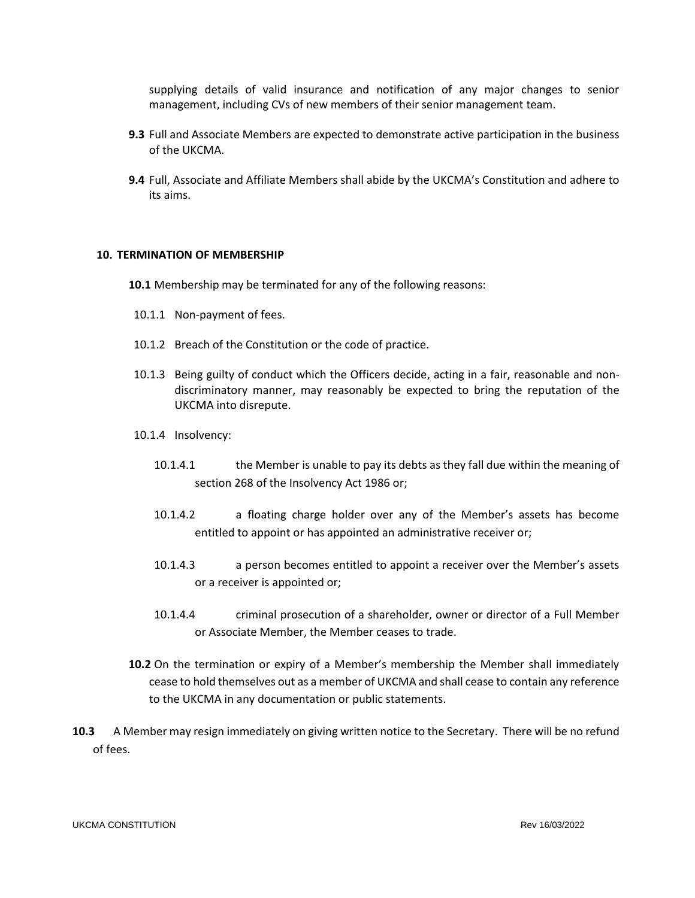supplying details of valid insurance and notification of any major changes to senior management, including CVs of new members of their senior management team.

- **9.3** Full and Associate Members are expected to demonstrate active participation in the business of the UKCMA.
- **9.4** Full, Associate and Affiliate Members shall abide by the UKCMA's Constitution and adhere to its aims.

## **10. TERMINATION OF MEMBERSHIP**

**10.1** Membership may be terminated for any of the following reasons:

- 10.1.1 Non-payment of fees.
- 10.1.2 Breach of the Constitution or the code of practice.
- 10.1.3 Being guilty of conduct which the Officers decide, acting in a fair, reasonable and nondiscriminatory manner, may reasonably be expected to bring the reputation of the UKCMA into disrepute.
- 10.1.4 Insolvency:
	- 10.1.4.1 the Member is unable to pay its debts as they fall due within the meaning of section 268 of the Insolvency Act 1986 or;
	- 10.1.4.2 a floating charge holder over any of the Member's assets has become entitled to appoint or has appointed an administrative receiver or;
	- 10.1.4.3 a person becomes entitled to appoint a receiver over the Member's assets or a receiver is appointed or;
	- 10.1.4.4 criminal prosecution of a shareholder, owner or director of a Full Member or Associate Member, the Member ceases to trade.
- **10.2** On the termination or expiry of a Member's membership the Member shall immediately cease to hold themselves out as a member of UKCMA and shall cease to contain any reference to the UKCMA in any documentation or public statements.
- **10.3** A Member may resign immediately on giving written notice to the Secretary. There will be no refund of fees.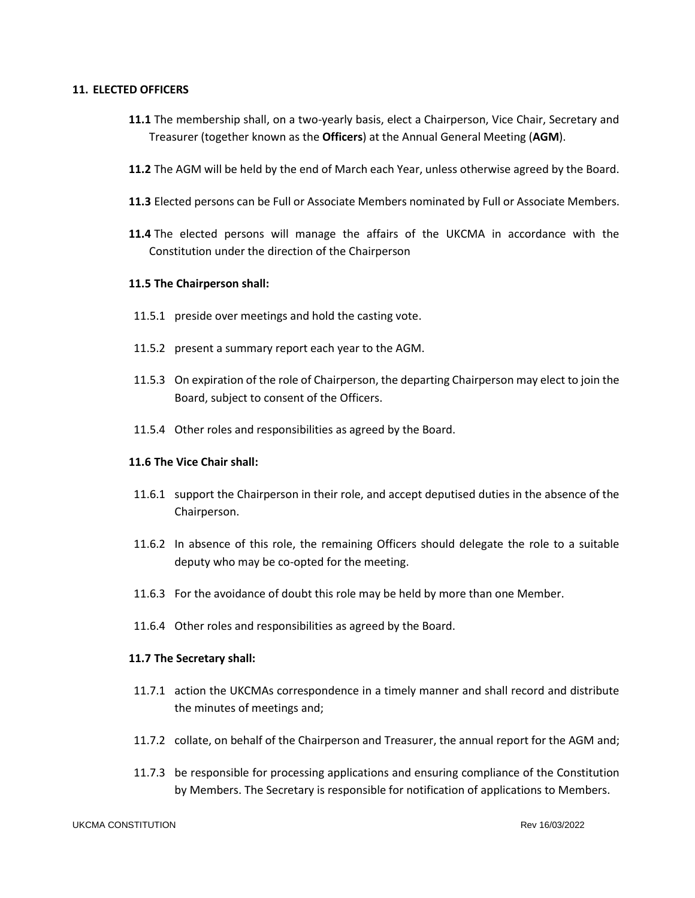## **11. ELECTED OFFICERS**

- **11.1** The membership shall, on a two-yearly basis, elect a Chairperson, Vice Chair, Secretary and Treasurer (together known as the **Officers**) at the Annual General Meeting (**AGM**).
- **11.2** The AGM will be held by the end of March each Year, unless otherwise agreed by the Board.
- **11.3** Elected persons can be Full or Associate Members nominated by Full or Associate Members.
- **11.4** The elected persons will manage the affairs of the UKCMA in accordance with the Constitution under the direction of the Chairperson

# **11.5 The Chairperson shall:**

- 11.5.1 preside over meetings and hold the casting vote.
- 11.5.2 present a summary report each year to the AGM.
- 11.5.3 On expiration of the role of Chairperson, the departing Chairperson may elect to join the Board, subject to consent of the Officers.
- 11.5.4 Other roles and responsibilities as agreed by the Board.

#### **11.6 The Vice Chair shall:**

- 11.6.1 support the Chairperson in their role, and accept deputised duties in the absence of the Chairperson.
- 11.6.2 In absence of this role, the remaining Officers should delegate the role to a suitable deputy who may be co-opted for the meeting.
- 11.6.3 For the avoidance of doubt this role may be held by more than one Member.
- 11.6.4 Other roles and responsibilities as agreed by the Board.

#### **11.7 The Secretary shall:**

- 11.7.1 action the UKCMAs correspondence in a timely manner and shall record and distribute the minutes of meetings and;
- 11.7.2 collate, on behalf of the Chairperson and Treasurer, the annual report for the AGM and;
- 11.7.3 be responsible for processing applications and ensuring compliance of the Constitution by Members. The Secretary is responsible for notification of applications to Members.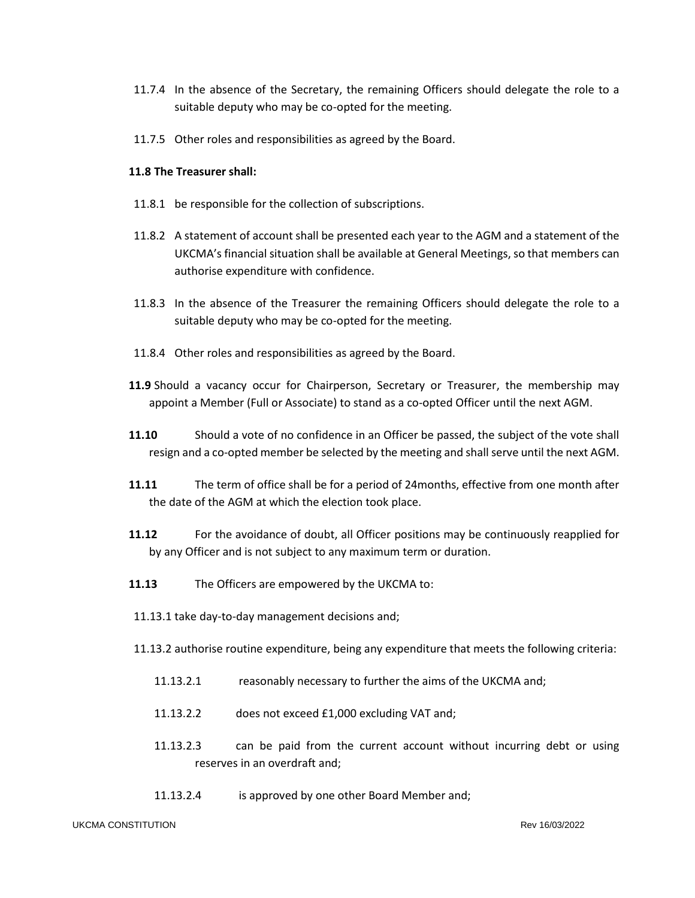- 11.7.4 In the absence of the Secretary, the remaining Officers should delegate the role to a suitable deputy who may be co-opted for the meeting.
- 11.7.5 Other roles and responsibilities as agreed by the Board.

# **11.8 The Treasurer shall:**

- 11.8.1 be responsible for the collection of subscriptions.
- 11.8.2 A statement of account shall be presented each year to the AGM and a statement of the UKCMA's financial situation shall be available at General Meetings, so that members can authorise expenditure with confidence.
- 11.8.3 In the absence of the Treasurer the remaining Officers should delegate the role to a suitable deputy who may be co-opted for the meeting.
- 11.8.4 Other roles and responsibilities as agreed by the Board.
- **11.9** Should a vacancy occur for Chairperson, Secretary or Treasurer, the membership may appoint a Member (Full or Associate) to stand as a co-opted Officer until the next AGM.
- **11.10** Should a vote of no confidence in an Officer be passed, the subject of the vote shall resign and a co-opted member be selected by the meeting and shall serve until the next AGM.
- **11.11** The term of office shall be for a period of 24months, effective from one month after the date of the AGM at which the election took place.
- **11.12** For the avoidance of doubt, all Officer positions may be continuously reapplied for by any Officer and is not subject to any maximum term or duration.
- **11.13** The Officers are empowered by the UKCMA to:
- 11.13.1 take day-to-day management decisions and;
- 11.13.2 authorise routine expenditure, being any expenditure that meets the following criteria:
	- 11.13.2.1 reasonably necessary to further the aims of the UKCMA and;
	- 11.13.2.2 does not exceed £1,000 excluding VAT and;
	- 11.13.2.3 can be paid from the current account without incurring debt or using reserves in an overdraft and;
	- 11.13.2.4 is approved by one other Board Member and;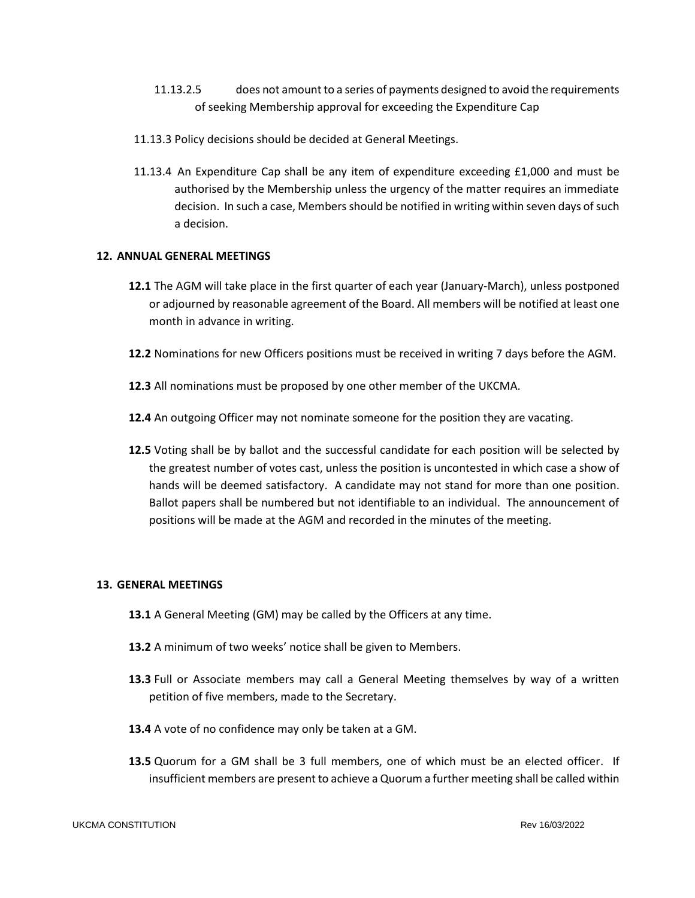- 11.13.2.5 does not amount to a series of payments designed to avoid the requirements of seeking Membership approval for exceeding the Expenditure Cap
- 11.13.3 Policy decisions should be decided at General Meetings.
- 11.13.4 An Expenditure Cap shall be any item of expenditure exceeding £1,000 and must be authorised by the Membership unless the urgency of the matter requires an immediate decision. In such a case, Members should be notified in writing within seven days of such a decision.

## **12. ANNUAL GENERAL MEETINGS**

- **12.1** The AGM will take place in the first quarter of each year (January-March), unless postponed or adjourned by reasonable agreement of the Board. All members will be notified at least one month in advance in writing.
- **12.2** Nominations for new Officers positions must be received in writing 7 days before the AGM.
- **12.3** All nominations must be proposed by one other member of the UKCMA.
- **12.4** An outgoing Officer may not nominate someone for the position they are vacating.
- **12.5** Voting shall be by ballot and the successful candidate for each position will be selected by the greatest number of votes cast, unless the position is uncontested in which case a show of hands will be deemed satisfactory. A candidate may not stand for more than one position. Ballot papers shall be numbered but not identifiable to an individual. The announcement of positions will be made at the AGM and recorded in the minutes of the meeting.

#### **13. GENERAL MEETINGS**

- **13.1** A General Meeting (GM) may be called by the Officers at any time.
- **13.2** A minimum of two weeks' notice shall be given to Members.
- **13.3** Full or Associate members may call a General Meeting themselves by way of a written petition of five members, made to the Secretary.
- **13.4** A vote of no confidence may only be taken at a GM.
- **13.5** Quorum for a GM shall be 3 full members, one of which must be an elected officer. If insufficient members are present to achieve a Quorum a further meeting shall be called within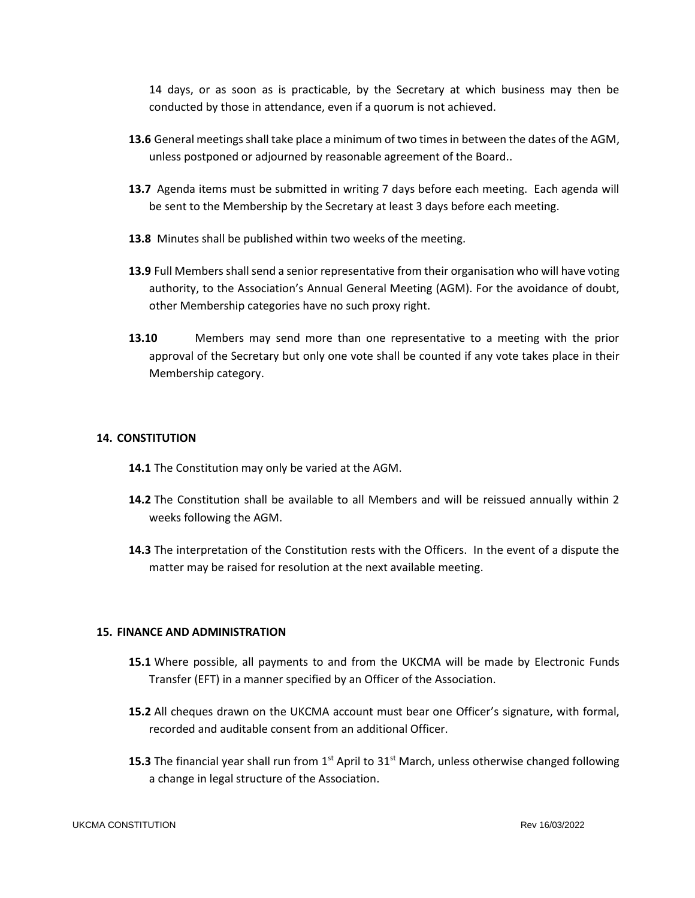14 days, or as soon as is practicable, by the Secretary at which business may then be conducted by those in attendance, even if a quorum is not achieved.

- **13.6** General meetings shall take place a minimum of two times in between the dates of the AGM, unless postponed or adjourned by reasonable agreement of the Board..
- **13.7** Agenda items must be submitted in writing 7 days before each meeting. Each agenda will be sent to the Membership by the Secretary at least 3 days before each meeting.
- **13.8** Minutes shall be published within two weeks of the meeting.
- 13.9 Full Members shall send a senior representative from their organisation who will have voting authority, to the Association's Annual General Meeting (AGM). For the avoidance of doubt, other Membership categories have no such proxy right.
- **13.10** Members may send more than one representative to a meeting with the prior approval of the Secretary but only one vote shall be counted if any vote takes place in their Membership category.

# **14. CONSTITUTION**

- **14.1** The Constitution may only be varied at the AGM.
- **14.2** The Constitution shall be available to all Members and will be reissued annually within 2 weeks following the AGM.
- **14.3** The interpretation of the Constitution rests with the Officers. In the event of a dispute the matter may be raised for resolution at the next available meeting.

#### **15. FINANCE AND ADMINISTRATION**

- **15.1** Where possible, all payments to and from the UKCMA will be made by Electronic Funds Transfer (EFT) in a manner specified by an Officer of the Association.
- **15.2** All cheques drawn on the UKCMA account must bear one Officer's signature, with formal, recorded and auditable consent from an additional Officer.
- **15.3** The financial year shall run from 1<sup>st</sup> April to 31<sup>st</sup> March, unless otherwise changed following a change in legal structure of the Association.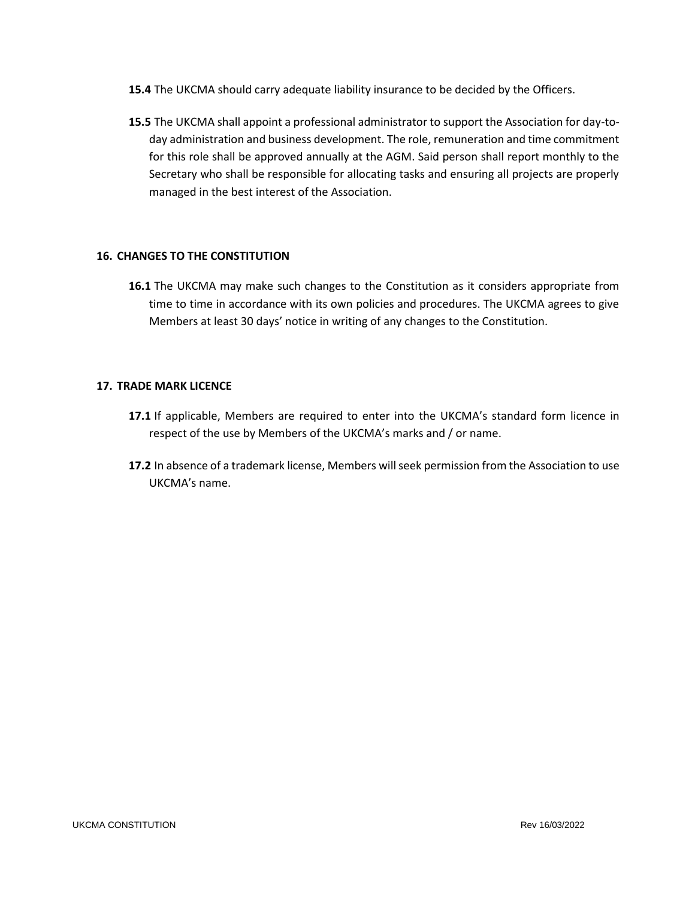- **15.4** The UKCMA should carry adequate liability insurance to be decided by the Officers.
- **15.5** The UKCMA shall appoint a professional administrator to support the Association for day-today administration and business development. The role, remuneration and time commitment for this role shall be approved annually at the AGM. Said person shall report monthly to the Secretary who shall be responsible for allocating tasks and ensuring all projects are properly managed in the best interest of the Association.

# **16. CHANGES TO THE CONSTITUTION**

**16.1** The UKCMA may make such changes to the Constitution as it considers appropriate from time to time in accordance with its own policies and procedures. The UKCMA agrees to give Members at least 30 days' notice in writing of any changes to the Constitution.

# **17. TRADE MARK LICENCE**

- **17.1** If applicable, Members are required to enter into the UKCMA's standard form licence in respect of the use by Members of the UKCMA's marks and / or name.
- **17.2** In absence of a trademark license, Members will seek permission from the Association to use UKCMA's name.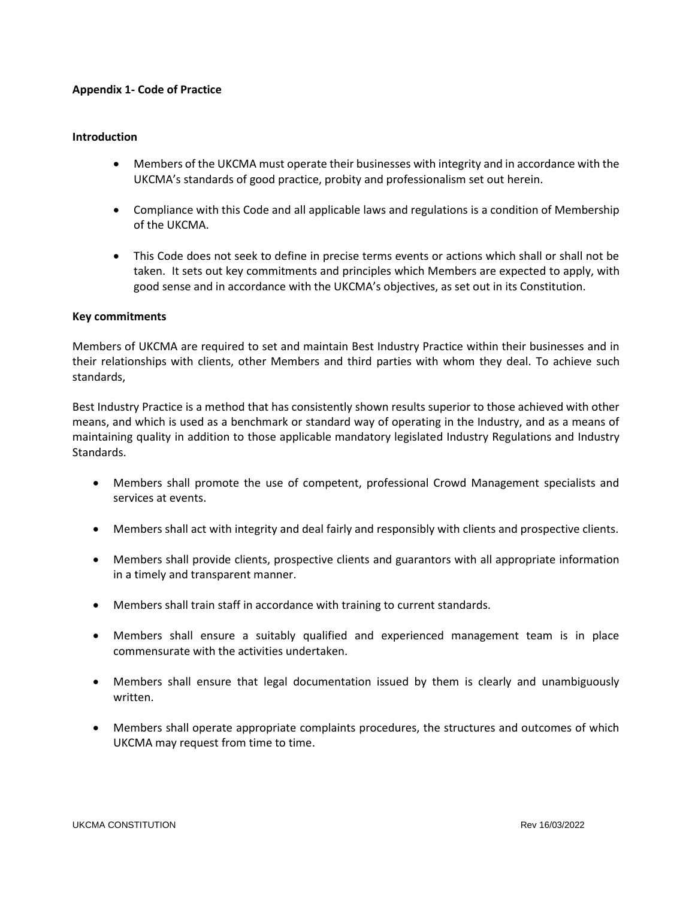## **Appendix 1- Code of Practice**

## **Introduction**

- Members of the UKCMA must operate their businesses with integrity and in accordance with the UKCMA's standards of good practice, probity and professionalism set out herein.
- Compliance with this Code and all applicable laws and regulations is a condition of Membership of the UKCMA.
- This Code does not seek to define in precise terms events or actions which shall or shall not be taken. It sets out key commitments and principles which Members are expected to apply, with good sense and in accordance with the UKCMA's objectives, as set out in its Constitution.

# **Key commitments**

Members of UKCMA are required to set and maintain Best Industry Practice within their businesses and in their relationships with clients, other Members and third parties with whom they deal. To achieve such standards,

Best Industry Practice is a method that has consistently shown results superior to those achieved with other means, and which is used as a benchmark or standard way of operating in the Industry, and as a means of maintaining quality in addition to those applicable mandatory legislated Industry Regulations and Industry Standards.

- Members shall promote the use of competent, professional Crowd Management specialists and services at events.
- Members shall act with integrity and deal fairly and responsibly with clients and prospective clients.
- Members shall provide clients, prospective clients and guarantors with all appropriate information in a timely and transparent manner.
- Members shall train staff in accordance with training to current standards.
- Members shall ensure a suitably qualified and experienced management team is in place commensurate with the activities undertaken.
- Members shall ensure that legal documentation issued by them is clearly and unambiguously written.
- Members shall operate appropriate complaints procedures, the structures and outcomes of which UKCMA may request from time to time.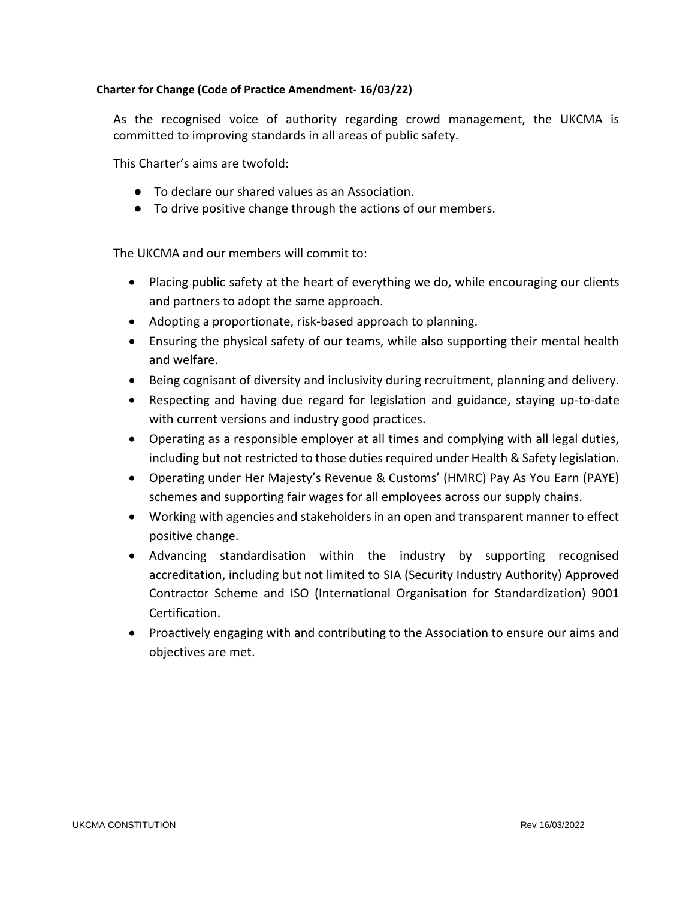# **Charter for Change (Code of Practice Amendment- 16/03/22)**

As the recognised voice of authority regarding crowd management, the UKCMA is committed to improving standards in all areas of public safety.

This Charter's aims are twofold:

- To declare our shared values as an Association.
- To drive positive change through the actions of our members.

The UKCMA and our members will commit to:

- Placing public safety at the heart of everything we do, while encouraging our clients and partners to adopt the same approach.
- Adopting a proportionate, risk-based approach to planning.
- Ensuring the physical safety of our teams, while also supporting their mental health and welfare.
- Being cognisant of diversity and inclusivity during recruitment, planning and delivery.
- Respecting and having due regard for legislation and guidance, staying up-to-date with current versions and industry good practices.
- Operating as a responsible employer at all times and complying with all legal duties, including but not restricted to those duties required under Health & Safety legislation.
- Operating under Her Majesty's Revenue & Customs' (HMRC) Pay As You Earn (PAYE) schemes and supporting fair wages for all employees across our supply chains.
- Working with agencies and stakeholders in an open and transparent manner to effect positive change.
- Advancing standardisation within the industry by supporting recognised accreditation, including but not limited to SIA (Security Industry Authority) Approved Contractor Scheme and ISO (International Organisation for Standardization) 9001 Certification.
- Proactively engaging with and contributing to the Association to ensure our aims and objectives are met.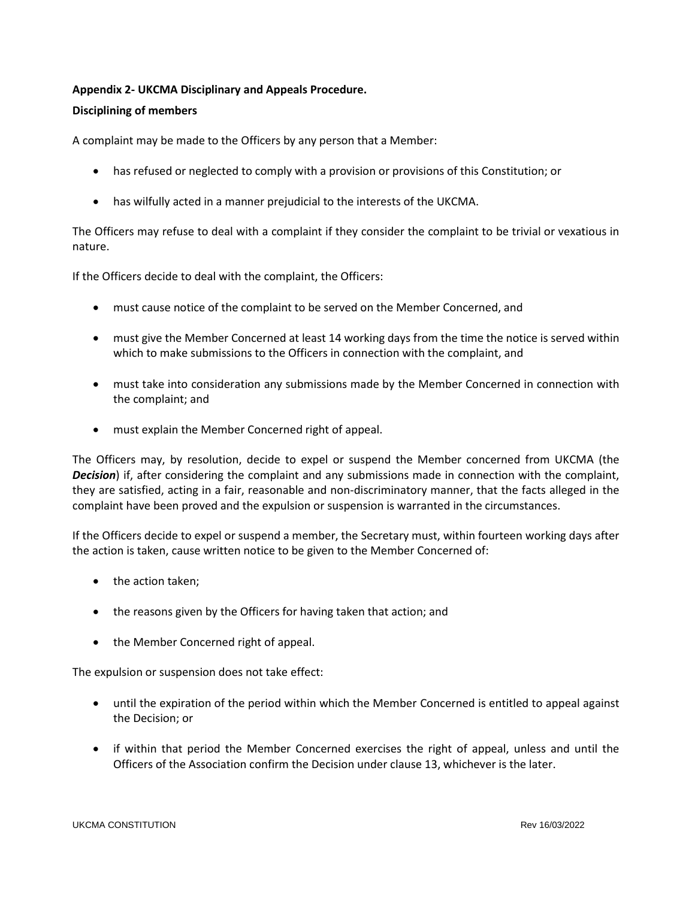# **Appendix 2- UKCMA Disciplinary and Appeals Procedure.**

## **Disciplining of members**

A complaint may be made to the Officers by any person that a Member:

- has refused or neglected to comply with a provision or provisions of this Constitution; or
- has wilfully acted in a manner prejudicial to the interests of the UKCMA.

The Officers may refuse to deal with a complaint if they consider the complaint to be trivial or vexatious in nature.

If the Officers decide to deal with the complaint, the Officers:

- must cause notice of the complaint to be served on the Member Concerned, and
- must give the Member Concerned at least 14 working days from the time the notice is served within which to make submissions to the Officers in connection with the complaint, and
- must take into consideration any submissions made by the Member Concerned in connection with the complaint; and
- must explain the Member Concerned right of appeal.

The Officers may, by resolution, decide to expel or suspend the Member concerned from UKCMA (the *Decision*) if, after considering the complaint and any submissions made in connection with the complaint, they are satisfied, acting in a fair, reasonable and non-discriminatory manner, that the facts alleged in the complaint have been proved and the expulsion or suspension is warranted in the circumstances.

If the Officers decide to expel or suspend a member, the Secretary must, within fourteen working days after the action is taken, cause written notice to be given to the Member Concerned of:

- the action taken;
- the reasons given by the Officers for having taken that action; and
- the Member Concerned right of appeal.

The expulsion or suspension does not take effect:

- until the expiration of the period within which the Member Concerned is entitled to appeal against the Decision; or
- if within that period the Member Concerned exercises the right of appeal, unless and until the Officers of the Association confirm the Decision under clause 13, whichever is the later.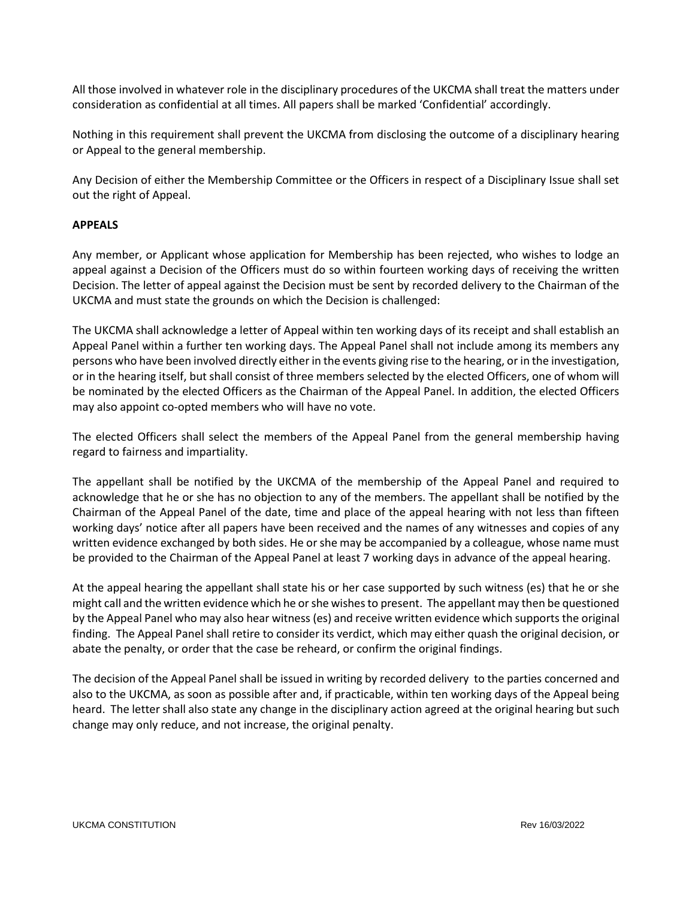All those involved in whatever role in the disciplinary procedures of the UKCMA shall treat the matters under consideration as confidential at all times. All papers shall be marked 'Confidential' accordingly.

Nothing in this requirement shall prevent the UKCMA from disclosing the outcome of a disciplinary hearing or Appeal to the general membership.

Any Decision of either the Membership Committee or the Officers in respect of a Disciplinary Issue shall set out the right of Appeal.

# **APPEALS**

Any member, or Applicant whose application for Membership has been rejected, who wishes to lodge an appeal against a Decision of the Officers must do so within fourteen working days of receiving the written Decision. The letter of appeal against the Decision must be sent by recorded delivery to the Chairman of the UKCMA and must state the grounds on which the Decision is challenged:

The UKCMA shall acknowledge a letter of Appeal within ten working days of its receipt and shall establish an Appeal Panel within a further ten working days. The Appeal Panel shall not include among its members any persons who have been involved directly either in the events giving rise to the hearing, or in the investigation, or in the hearing itself, but shall consist of three members selected by the elected Officers, one of whom will be nominated by the elected Officers as the Chairman of the Appeal Panel. In addition, the elected Officers may also appoint co-opted members who will have no vote.

The elected Officers shall select the members of the Appeal Panel from the general membership having regard to fairness and impartiality.

The appellant shall be notified by the UKCMA of the membership of the Appeal Panel and required to acknowledge that he or she has no objection to any of the members. The appellant shall be notified by the Chairman of the Appeal Panel of the date, time and place of the appeal hearing with not less than fifteen working days' notice after all papers have been received and the names of any witnesses and copies of any written evidence exchanged by both sides. He or she may be accompanied by a colleague, whose name must be provided to the Chairman of the Appeal Panel at least 7 working days in advance of the appeal hearing.

At the appeal hearing the appellant shall state his or her case supported by such witness (es) that he or she might call and the written evidence which he or she wishes to present. The appellant may then be questioned by the Appeal Panel who may also hear witness (es) and receive written evidence which supports the original finding. The Appeal Panel shall retire to consider its verdict, which may either quash the original decision, or abate the penalty, or order that the case be reheard, or confirm the original findings.

The decision of the Appeal Panel shall be issued in writing by recorded delivery to the parties concerned and also to the UKCMA, as soon as possible after and, if practicable, within ten working days of the Appeal being heard. The letter shall also state any change in the disciplinary action agreed at the original hearing but such change may only reduce, and not increase, the original penalty.